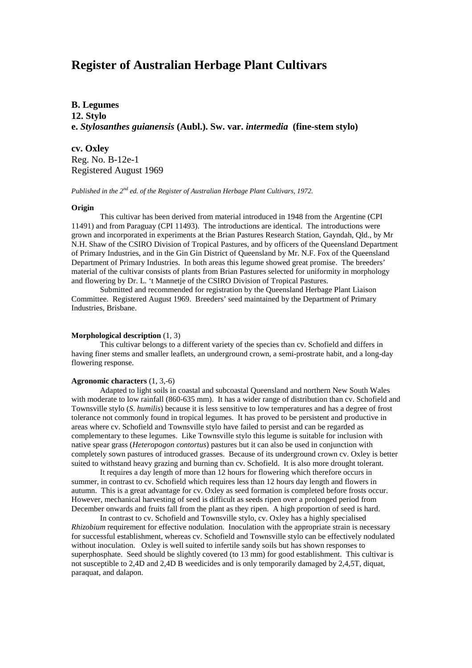# **Register of Australian Herbage Plant Cultivars**

## **B. Legumes**

**12. Stylo e.** *Stylosanthes guianensis* **(Aubl.). Sw. var.** *intermedia* **(fine-stem stylo)**

**cv. Oxley** Reg. No. B-12e-1 Registered August 1969

*Published in the 2nd ed. of the Register of Australian Herbage Plant Cultivars, 1972.*

#### **Origin**

This cultivar has been derived from material introduced in 1948 from the Argentine (CPI 11491) and from Paraguay (CPI 11493). The introductions are identical. The introductions were grown and incorporated in experiments at the Brian Pastures Research Station, Gayndah, Qld., by Mr N.H. Shaw of the CSIRO Division of Tropical Pastures, and by officers of the Queensland Department of Primary Industries, and in the Gin Gin District of Queensland by Mr. N.F. Fox of the Queensland Department of Primary Industries. In both areas this legume showed great promise. The breeders' material of the cultivar consists of plants from Brian Pastures selected for uniformity in morphology and flowering by Dr. L. 't Mannetje of the CSIRO Division of Tropical Pastures.

Submitted and recommended for registration by the Queensland Herbage Plant Liaison Committee. Registered August 1969. Breeders' seed maintained by the Department of Primary Industries, Brisbane.

#### **Morphological description** (1, 3)

This cultivar belongs to a different variety of the species than cv. Schofield and differs in having finer stems and smaller leaflets, an underground crown, a semi-prostrate habit, and a long-day flowering response.

#### **Agronomic characters** (1, 3,-6)

Adapted to light soils in coastal and subcoastal Queensland and northern New South Wales with moderate to low rainfall (860-635 mm). It has a wider range of distribution than cv. Schofield and Townsville stylo (*S. humilis*) because it is less sensitive to low temperatures and has a degree of frost tolerance not commonly found in tropical legumes. It has proved to be persistent and productive in areas where cv. Schofield and Townsville stylo have failed to persist and can be regarded as complementary to these legumes. Like Townsville stylo this legume is suitable for inclusion with native spear grass (*Heteropogon contortus*) pastures but it can also be used in conjunction with completely sown pastures of introduced grasses. Because of its underground crown cv. Oxley is better suited to withstand heavy grazing and burning than cv. Schofield. It is also more drought tolerant.

It requires a day length of more than 12 hours for flowering which therefore occurs in summer, in contrast to cv. Schofield which requires less than 12 hours day length and flowers in autumn. This is a great advantage for cv. Oxley as seed formation is completed before frosts occur. However, mechanical harvesting of seed is difficult as seeds ripen over a prolonged period from December onwards and fruits fall from the plant as they ripen. A high proportion of seed is hard.

In contrast to cv. Schofield and Townsville stylo, cv. Oxley has a highly specialised *Rhizobium* requirement for effective nodulation. Inoculation with the appropriate strain is necessary for successful establishment, whereas cv. Schofield and Townsville stylo can be effectively nodulated without inoculation. Oxley is well suited to infertile sandy soils but has shown responses to superphosphate. Seed should be slightly covered (to 13 mm) for good establishment. This cultivar is not susceptible to 2,4D and 2,4D B weedicides and is only temporarily damaged by 2,4,5T, diquat, paraquat, and dalapon.